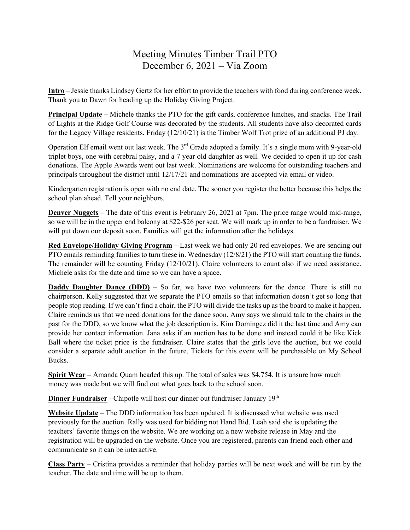## Meeting Minutes Timber Trail PTO December 6, 2021 – Via Zoom

**Intro** – Jessie thanks Lindsey Gertz for her effort to provide the teachers with food during conference week. Thank you to Dawn for heading up the Holiday Giving Project.

**Principal Update** – Michele thanks the PTO for the gift cards, conference lunches, and snacks. The Trail of Lights at the Ridge Golf Course was decorated by the students. All students have also decorated cards for the Legacy Village residents. Friday (12/10/21) is the Timber Wolf Trot prize of an additional PJ day.

Operation Elf email went out last week. The 3<sup>rd</sup> Grade adopted a family. It's a single mom with 9-year-old triplet boys, one with cerebral palsy, and a 7 year old daughter as well. We decided to open it up for cash donations. The Apple Awards went out last week. Nominations are welcome for outstanding teachers and principals throughout the district until 12/17/21 and nominations are accepted via email or video.

Kindergarten registration is open with no end date. The sooner you register the better because this helps the school plan ahead. Tell your neighbors.

**Denver Nuggets** – The date of this event is February 26, 2021 at 7pm. The price range would mid-range, so we will be in the upper end balcony at \$22-\$26 per seat. We will mark up in order to be a fundraiser. We will put down our deposit soon. Families will get the information after the holidays.

**Red Envelope/Holiday Giving Program** – Last week we had only 20 red envelopes. We are sending out PTO emails reminding families to turn these in. Wednesday (12/8/21) the PTO will start counting the funds. The remainder will be counting Friday (12/10/21). Claire volunteers to count also if we need assistance. Michele asks for the date and time so we can have a space.

**Daddy Daughter Dance (DDD)** – So far, we have two volunteers for the dance. There is still no chairperson. Kelly suggested that we separate the PTO emails so that information doesn't get so long that people stop reading. If we can't find a chair, the PTO will divide the tasks up as the board to make it happen. Claire reminds us that we need donations for the dance soon. Amy says we should talk to the chairs in the past for the DDD, so we know what the job description is. Kim Domingez did it the last time and Amy can provide her contact information. Jana asks if an auction has to be done and instead could it be like Kick Ball where the ticket price is the fundraiser. Claire states that the girls love the auction, but we could consider a separate adult auction in the future. Tickets for this event will be purchasable on My School Bucks.

**Spirit Wear** – Amanda Quam headed this up. The total of sales was \$4,754. It is unsure how much money was made but we will find out what goes back to the school soon.

**Dinner Fundraiser** - Chipotle will host our dinner out fundraiser January 19<sup>th</sup>

**Website Update** – The DDD information has been updated. It is discussed what website was used previously for the auction. Rally was used for bidding not Hand Bid. Leah said she is updating the teachers' favorite things on the website. We are working on a new website release in May and the registration will be upgraded on the website. Once you are registered, parents can friend each other and communicate so it can be interactive.

**Class Party** – Cristina provides a reminder that holiday parties will be next week and will be run by the teacher. The date and time will be up to them.